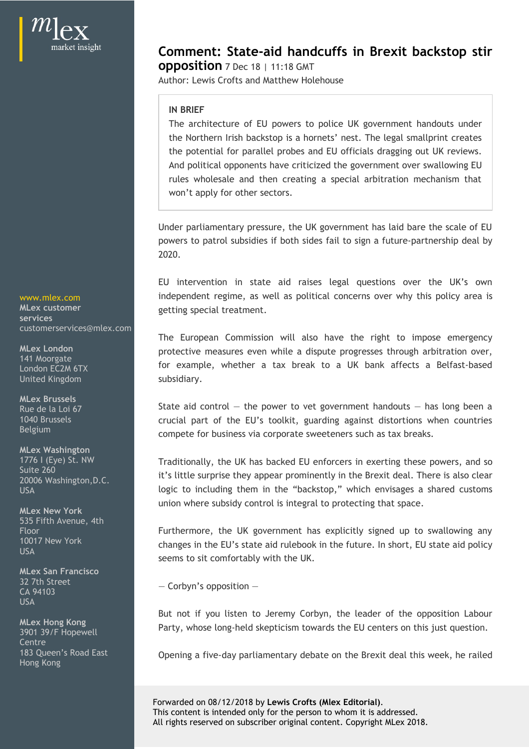**services services** 

**MLex Washington**

**MLex New York** 535 Fifth Avenue, 4th

**MLex San Francisco**  $CCD<sub>2</sub>$  and  $CCD<sub>2</sub>$  are  $CDD<sub>2</sub>$  and  $CDD<sub>2</sub>$  are  $CDD<sub>2</sub>$  and  $CDD<sub>2</sub>$  and  $CDD<sub>2</sub>$  are  $CDD<sub>2</sub>$  and  $CDD<sub>2</sub>$  and  $CDD<sub>2</sub>$  are  $CDD<sub>2</sub>$  and  $CDD<sub>2</sub>$  and  $CDD<sub>2</sub>$  are  $CDD<sub>2</sub>$  a USA and the contract of the contract of the contract of the contract of the contract of the contract of the contract of the contract of the contract of the contract of the contract of the contract of the contract of the co

3901 39/F Hopewell de la contre la contradición de la contradición de la contradición de la contradición de la contradición de la contradición de la contradición de la contradición de la contradición de la contradición de la contradición de Hong Kong

**Comment: State-aid handcuffs in Brexit backstop stir opposition** 7 Dec 18 | 11:18 GMT

Author: Lewis Crofts and Matthew Holehouse

## **IN BRIEF**

**Dromment: State-aid handcuffs in Brexit backstop stirce polition** 7 Dec 18 | 11:18 GMT<br>thor: Lewis Crofts and Matthew Holehouse<br>IN BRIEF<br>The architecture of EU powers to police UK government handouts under<br>the Northern Ir the Northern Irish backstop is a hornets' nest. The legal smallprint creates the potential for parallel probes and EU officials dragging out UK reviews. And political opponents have criticized the government over swallowing EU **Dynomiant: State-aid handcuffs in Brexit backstop stirct position** 7 Dec 18 | 11:18 GMT<br>thor: Lewis Crofts and Matthew Holehouse<br>IN BRIEF<br>The architecture of EU powers to police UK government handouts under<br>the Northern I won't apply for other sectors. **Comment: State-aid handcuffs in Brexit backstop stir-**<br> **opposition** 7 Dec 18 | 11:18 GMT<br>
Author: Lewis Crofts and Matthew Holehouse<br>
IN BRIEF<br>
The architecture of EU powers to police UK government handouts under<br>
the No **Comment: State-aid handcuffs in Brexit backstop stir<br>
opposition** 7 Dec 18 | 11:18 GMT<br>
Author: Lewis Crofts and Matthew Holehouse<br> **IN BRIET**<br>
IN BRIET<br>
IN BRIET<br>
IN BRIET<br>
IN BRIET<br>
AUTORITY COMEXEVANT DEVALUE TO THE RE **Comment: State-aid handcuffs in Brexit backstop stir-**<br> **Opposition** 7 bec 18 | 11:18 GMT<br>
Author: Lewis Crofts and Matthew Holehouse<br>
IN BRIEF<br>
IN BRIEF<br>
The architecture of EU powers to police UK government handouts und IN BRIEF<br>The architecture of EU powers to police UK government handouts under<br>the Northern Irish backstop is a hornets' nest. The legal smallprint creates<br>the potential for parallel probes and EU officials dragging out UK

Under parliamentary pressure, the UK government has laid bare the scale of EU powers to patrol subsidies if both sides fail to sign a future-partnership deal by 2020.

independent regime, as well as political concerns over why this policy area is www.mlex.com getting special treatment. **MLex customer**

protective measures even while a dispute progresses through arbitration over, **MLex London** subsidiary. rules wholesale and then creating a special arbitration mechanism that<br>voon't apply for other sectors.<br>
Under parliamentary pressure, the UK government has laid bare the scale of EU<br>powers to patrol subsidies if both sides Under parliamentary pressure, the UK government has laid bare the scale of EU powers to patrol subsidies if both sides fail to sign a future-partnership deal by 2020.<br>
EU intervention in state aid raises legal questions ov moepenent regnne, as well as bottical concerns over why this policy area is<br>getting special treatment.<br>The European Commission will also have the right to impose emergency<br>protective measures even while a dispute progresse customerservices@mlex.com 141 Moorgate London EC2M 6TX **London COLLUT COLLUT CONTRACTE CONTRACT** LONDON CONTRACT DEVIASI-Dased United Kingdom

State aid control — the power to vet government handouts — has long been a **MLex Brussels** compete for business via corporate sweeteners such as tax breaks. Belgium Rue de la Loi 67 de la control – the power to vet government handouts – has long been a 1040 Brussels **1040 Brussels 1040 Brussels 1040 Brussels 1040 Brussels 1040 Brussels** 

Traditionally, the UK has backed EU enforcers in exerting these powers, and so 1776 I (Eye) St. NW Suite 260<br>20006 Washinaton B.C. **Suith Limit's little surprise they appear prominently in the Brexit deal. There is also clear** union where subsidy control is integral to protecting that space. 20006 Washington,D.C. USA USA USA USE IN THE USE OF THE USE OF THE USE OF THE USE OF THE USE OF THE USE OF THE USE OF THE USE OF THE USE OF THE USE OF THE USE OF THE USE OF THE USE OF THE USE OF THE USE OF THE USE OF THE USE OF THE USE OF THE U

changes in the EU's state aid rulebook in the future. In short, EU state aid policy 10017 New York seems to sit comfortably with the UK. Floor **Example 2018** Furthermore, the UK government has explicitly signed up to swallowing any USA Examples the contract of the contract of the case of the contract of the contract of the contract of the contract of the contract of the contract of the contract of the contract of the contract of the contract of the c

— Corbyn's opposition — 32 7th Street

MLex Hong Kong<br>2001-2015 Hongwall **Reading Party, whose long-held skepticism** towards the EU centers on this just question.

183 Queen's Road East **1888** Opening a five-day parliamentary debate on the Brexit deal this week, he railed

Forwarded on 08/12/2018 by **Lewis Crofts (Mlex Editorial)**. This content is intended only for the person to whom it is addressed. All rights reserved on subscriber original content. Copyright MLex 2018.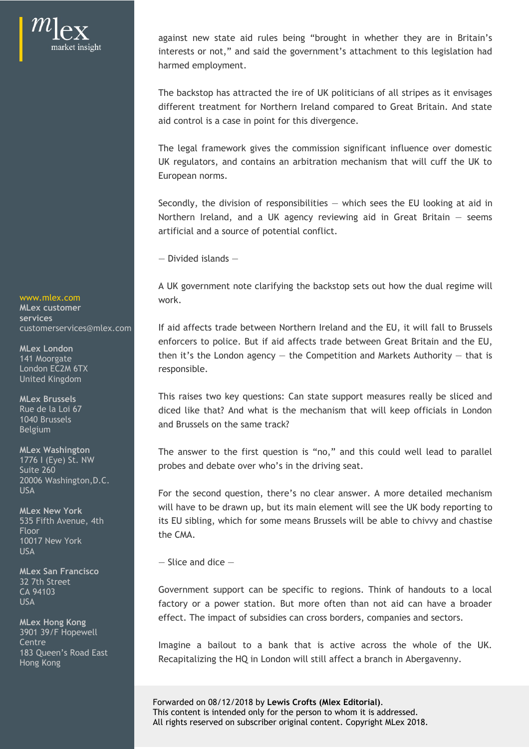against new state aid rules being "brought in whether they are in Britain's<br>interests or not," and said the government's attachment to this legislation had<br>harmed employment.<br>The backstop has attracted the ire of UK politi interests or not," and said the government's attachment to this legislation had harmed employment.

The backstop has attracted the ire of UK politicians of all stripes as it envisages different treatment for Northern Ireland compared to Great Britain. And state aid control is a case in point for this divergence.

The legal framework gives the commission significant influence over domestic UK regulators, and contains an arbitration mechanism that will cuff the UK to European norms.

Secondly, the division of responsibilities  $-$  which sees the EU looking at aid in against new state aid rules being "brought in whether they are in Britain's<br>interests or not," and said the government's attachment to this legislation had<br>harmed employment.<br>The backstop has attracted the ire of UK politi artificial and a source of potential conflict.

— Divided islands —

A UK government note clarifying the backstop sets out how the dual regime will work. www.mlex.com

customerservices@mlex.com | If aid affects trade between Northern Ireland and the EU, it will fall to Brussels enforcers to police. But if aid affects trade between Great Britain and the EU, MLex London<br>
then it's the London agency — the Competition and Markets Authority — that is responsible. The legal framework gives the commission significant influence over domestic<br>UK regulators, and contains an arbitration mechanism that will cuff the UK to<br>European norms.<br>Secondly, the division of responsibilities – which 141 Moorgate **141 Studies and Contract Contract Contract Contract Contract Contract Contract Contract Contract** 

This raises two key questions: Can state support measures really be sliced and **MLex Brussels** Rue de la Loi 67 diced like that? And what is the mechanism that will keep officials in London 1040 Brussels<br>Relatives

probes and debate over who's in the driving seat. 1776 I (Eye) St. NW **MLex Washington**<br>1776 I (Eye) St. NW **The answer to the first question is "no,"** and this could well lead to parallel Suite  $260$  and  $\mu$  brobes and depart over who said the diving seat.

For the second question, there's no clear answer. A more detailed mechanism USA will have to be drawn up, but its main element will see the UK body reporting to **MLex New York** 535 Fifth Avenue, 4th **EU sibling, which for some means Brussels** will be able to chivvy and chastise the CMA. A UK government note clarifying the backstop sets out how the dual regime will<br>work.<br>If aid affects trade between Northern Ireland and the EU, it will fall to Brussels<br>enforcers to police. But if aid affects trade between A une dual regime to the UK is a broader of the UK is a broader of the UK is a broader of the UK is a broader of the UK is a broader of the UK is a broader of the EU, then it's the London agency – the Competition and Marke In an arrects trade networe Mortnem Inetiano and the EU, It will tail to brussels<br>enforcers to police. But if ald affects trade between Great Britain and the EU,<br>then it's the London agency – the Competition and Markets Au Floor

— Slice and dice —

effect. The impact of subsidies can cross borders, companies and sectors. **MLex Hong Kong** CA 94103 Covernment support can be specific to regions. Think of handouts to a local USA USA DELL'ESSE FACTORY OF a power station. But more often than not aid can have a broader

Recapitalizing the HQ in London will still affect a branch in Abergavenny. Hong Kong Centre **Centre Centre Example 1** Imagine a bailout to a bank that is active across the whole of the UK.

> Forwarded on 08/12/2018 by **Lewis Crofts (Mlex Editorial)**. This content is intended only for the person to whom it is addressed. All rights reserved on subscriber original content. Copyright MLex 2018.

**MLex customer services**

London EC2M 6TX United Kingdom

Belgium

20006 Washington,D.C.

10017 New York USA and the contract of the contract of the contract of the contract of the contract of the contract of the contract of the contract of the contract of the contract of the contract of the contract of the contract of the co

**MLex San Francisco** 32 7th Street

3901 39/F Hopewell 183 Queen's Road East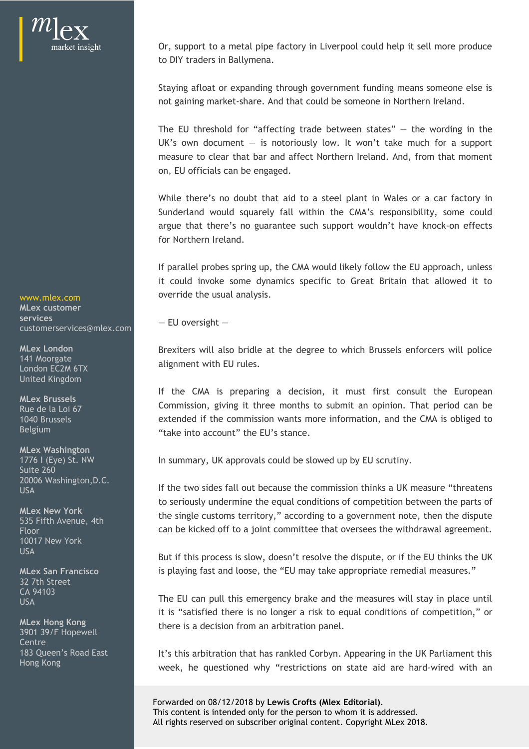Or, support to a metal pipe factory in Liverpool could help it sell more produce to DIY traders in Ballymena.

Staying afloat or expanding through government funding means someone else is not gaining market-share. And that could be someone in Northern Ireland.

Or, support to a metal pipe factory in Liverpool could help it sell more produce<br>to DIY traders in Ballymena.<br>Staying afloat or expanding through government funding means someone else is<br>not gaining market-share. And that Or, support to a metal pipe factory in Liverpool could help it sell more produce<br>to DIY traders in Ballymena.<br>Staying afloat or expanding through government funding means someone else is<br>not gaining market-share. And that measure to clear that bar and affect Northern Ireland. And, from that moment on, EU officials can be engaged. Or, support to a metal pipe factory in Liverpool could help it sell more produce<br>to DIY traders in Ballymena.<br>Staying afloat or expanding through government funding means someone else is<br>ont gaining market-share. And that Or, support to a metal pipe factory in Liverpool could help it sell more produce<br>to DIY traders in Ballymena.<br>Staying afloat or expanding through government funding means someone else is<br>not gaining market-share. And that Or, support to a metal pipe factory in Liverpool could help it sell more produce<br>to DIY traders in Ballymena.<br>Staying afloat or expanding through government funding means someone else is<br>not gaining market-share. And that Or, support to a metal pipe factory in Liverpool could help it sell more produce<br>to DIY traders in Ballymena.<br>Staying afloat or expanding through government funding means someone else is<br>ont gaining market-share. And that Staying afloat or expanding through government funding means someone else is<br>not gaining market-share. And that could be someone in Northern Ireland.<br>The EU threshold for "affecting trade between states" — the wording in t or a proton or expanning through government funtang menss someone eise is<br>not gaining market-share. And that could be someone in Northern Ireland.<br>The EU threshold for "affecting trade between states" — the wording in the<br>

for Northern Ireland.

If parallel probes spring up, the CMA would likely follow the EU approach, unless override the usual analysis. www.mlex.com **come controlled by the controller of the usual analysis.** 

Brexiters will also bridle at the degree to which Brussels enforcers will police **MLex London** 141 Moorgate<br>London EC2M 4TY

extended if the commission wants more information, and the CMA is obliged to 1040 Brussels Belgium and the control of the function of the EU's stance. **MLex Brussels** Rue de la Loi 67 de la communission, giving it times months to submit an opimon. That period can be

In summary, UK approvals could be slowed up by EU scrutiny. 1776 I (Eye) St. NW

If the two sides fall out because the commission thinks a UK measure "threatens USA to seriously undermine the equal conditions of competition between the parts of the single customs territory," according to a government note, then the dispute **MLex New York** can be kicked off to a joint committee that oversees the withdrawal agreement. Floor ententers will as once at the degree to which brusses entrocers will police<br>entagment with EU rules.<br>If the CMA is preparing a decision, it must first consult the European<br>Commission, giving it three months to submit an op 535 Fifth Avenue, 4th **Exercise Contract Contract Contract Contract Contract Control** to a government note, then the dispute

But if this process is slow, doesn't resolve the dispute, or if the EU thinks the UK USA is playing fast and loose, the "EU may take appropriate remedial measures." **MLex San Francisco**

The EU can pull this emergency brake and the measures will stay in place until CA 94103 it is "satisfied there is no longer a risk to equal conditions of competition," or there is a decision from an arbitration panel. **MLex Hong Kong** USA USE Interest of the CD can put this emergency brake and the measures will stay in place until

183 Queen's Road East **1988 In the Lift**'s this arbitration that has rankled Corbyn. Appearing in the UK Parliament this Hong Kong<br>week, he questioned why "restrictions on state aid are hard-wired with an

> Forwarded on 08/12/2018 by **Lewis Crofts (Mlex Editorial)**. This content is intended only for the person to whom it is addressed. All rights reserved on subscriber original content. Copyright MLex 2018.

— EU oversight — **services MLex customer** customerservices@mlex.com

London EC2M 6TX United Kingdom

**MLex Washington** Suite 260 20006 Washington,D.C.

10017 New York

32 7th Street

3901 39/F Hopewell de la contre la contradición de la contradición de la contradición de la contradición de la contradición de la contradición de la contradición de la contradición de la contradición de la contradición de la contradición de